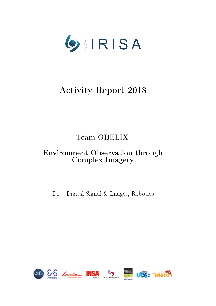

# Activity Report 2018

# Team OBELIX

# Environment Observation through Complex Imagery

D5 – Digital Signal & Images, Robotics

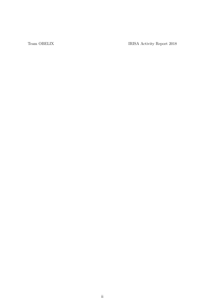Team OBELIX IRISA Activity Report 2018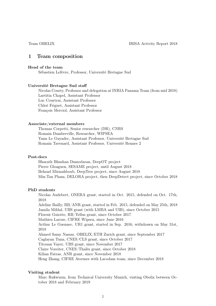# 1 Team composition

#### Head of the team

Sébastien Lefèvre, Professor, Université Bretagne Sud

#### Université Bretagne Sud staff

Nicolas Courty, Professor and delegation at INRIA Panama Team (from mid 2018) Laetitia Chapel, Assistant Professor Luc Courtrai, Assistant Professor Chloé Friguet, Assistant Professor François Merciol, Assistant Professor

### Associate/external members

Thomas Corpetti, Senior researcher (DR), CNRS Romain Dambreville, Researcher, WIPSEA Yann Le Guyadec, Assistant Professor, Université Bretagne Sud Romain Tavenard, Assistant Professor, Université Rennes 2

#### Post-docs

Bharath Bhushan Damodaran, DeepOT project Pierre Gloaguen, SESAME project, until August 2018 Behzad Mirmahboub, DeepTree project, since August 2018 Min-Tan Pham, DELORA project, then DeepDetect project, since October 2018

#### PhD students

Nicolas Audebert, ONERA grant, started in Oct. 2015, defended on Oct. 17th, 2018 Adeline Bailly, RB/ANR grant, started in Feb. 2015, defended on May 25th, 2018 Jamila Mifdal, UBS grant (with LMBA and UIB), since October 2015 Florent Guiotte, RB/Tellus grant, since October 2017 Mathieu Laroze, CIFRE Wipsea, since June 2016 Arthur Le Guennec, UR1 grant, started in Sep. 2016, withdrawn on May 31st, 2018 Ahmed Samy Nassar, OBELIX/ETH Zurich grant, since September 2017 Caglayan Tuna, CNES/CLS grant, since October 2017 Titouan Vayer, UBS grant, since November 2017 Claire Voreiter, CNES/Thalès grant, since October 2018 Kilian Fatras, ANR grant, since November 2018 Heng Zhang, CIFRE Atermes with Lacodam team, since December 2018

## Visiting student

Marc Rußwurm, from Technical University Munich, visiting Obelix between October 2018 and February 2019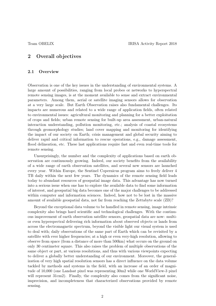# 2 Overall objectives

### 2.1 Overview

Observation is one of the key issues in the understanding of environmental systems. A large amount of possibilities, ranging from local probes or networks to hyperspectral remote sensing images, is at the moment available to sense and extract environmental parameters. Among them, aerial or satellite imaging sensors allows for observation at a very large scale. But Earth Observation raises also fundamental challenges. Its impacts are numerous and related to a wide range of application fields, often related to environmental issues: agricultural monitoring and planning for a better exploitation of crops and fields; urban remote sensing for built-up area assessment, urban-natural interaction understanding, pollution monitoring, etc.; analysis of coastal ecosystems through geomorphology studies; land cover mapping and monitoring for identifying the impact of our society on Earth; crisis management and global security aiming to deliver rapid and critical information to rescue operations, e.g., damage assessment, flood delineation, etc. These last applications require fast and even real-time tools for remote sensing.

Unsurprisingly, the number and the complexity of applications based on earth observation are continuously growing. Indeed, our society benefits from the availability of a wide range of earth observation satellites, and several new sensors are launched every year. Within Europe, the Sentinel Copernicus program aims to freely deliver 4 TB daily within the next few years. The dynamics of the remote sensing field leads today to abundant resources of geospatial image data. This advantage has now turned into a serious issue when one has to explore the available data to find some information of interest, and geospatial big data becomes one of the major challenges to be addressed within computer and information sciences. Indeed, how not to be lost in the massive amount of available geospatial data, not far from reaching the Zettabyte scale (ZB)?

Beyond the exceptional data volume to be handled in remote sensing, image intrinsic complexity also brings hard scientific and technological challenges. With the continuous improvement of earth observation satellite sensors, geospatial data are now: multior even hyperspectral delivering rich information about observed objects or lands from across the electromagnetic spectrum, beyond the visible light our visual system is used to deal with; daily observations of the same part of Earth which can be revisited by a satellite with ever higher frequencies; at a high or even very-high resolution, allowing to observe from space (from a distance of more than 500km) what occurs on the ground on only 30 centimeter square. This also raises the problem of multiple observations of the same object or part, at various resolutions, and thus with various viewpoints expecting to deliver a globally better understanding of our environment. Moreover, the generalization of very high spatial resolution sensors has a direct influence on the data volume tackled by methods and systems in the field, with an increase of an order of magnitude of 10,000 (one Landsat pixel was representing 30m2 while one WorldView-3 pixel will represent 31cm2). Finally, the complexity also comes from the significant noise, imprecision, and incompleteness that characterized observations provided by remote sensing.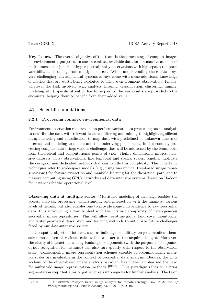Key Issues. The overall objective of the team is the processing of complex images for environmental purposes. In such a context, available data form a massive amount of multidimensional (multi- or hyperspectral) noisy observations with high spatio-temporal variability and coming from multiple sources. While understanding these data stays very challenging, environmental systems always come with some additional knowledge or models that are worth being exploited to achieve environment observation. Finally, whatever the task involved (e.g., analysis, filtering, classification, clustering, mining, modeling, etc.), specific attention has to be paid to the way results are provided to the end-users, helping them to benefit from their added value.

# 2.2 Scientific foundations

### 2.2.1 Processing complex environmental data

Environment observation requires one to perform various data processing tasks: analysis to describe the data with relevant features; filtering and mining to highlight significant data; clustering and classification to map data with predefined or unknown classes of interest; and modeling to understand the underlying phenomena. In this context, processing complex data brings various challenges that will be addressed by the team, both from theoretical and computational points of view. Highly dimensional images, massive datasets, noisy observations, fine temporal and spatial scales, together motivate the design of new dedicated methods that can handle this complexity. The underlying techniques refer to scale-space models (e.g., using hierarchical tree-based image representations) for feature extraction and manifold learning for the theoretical part, and to massive computing using GPUs networks and data intensive systems (based on Hadoop for instance) for the operational level.

Observing data at multiple scales Multiscale modeling of an image enables the access, analysis, processing, understanding and interaction with the image at various levels of details, but also enables one to provide some independence to raw geospatial data, thus introducing a way to deal with the intrinsic complexity of heterogeneous geospatial image repositories. This will allow real-time global land cover monitoring, and foster geospatial description and learning methods to anticipate future challenges faced by our data-intensive society.

Geospatial objects of interest, such as buildings or military targets, manifest themselves most often at various scales within and across the acquired images. Moreover, the clarity of interactions among landscape components (with the purpose of compound object recognition for instance) can also vary greatly with respect to the observation scale. Consequently, image representation schemes capable of accommodating multiple scales are invaluable in the context of geospatial data analysis. Besides, the wide acclaim of the object-based image analysis paradigm has further emphasized the need for multiscale image representation methods [Bla10]. This paradigm relies on a prior segmentation step that aims to gather pixels into regions for further analysis. The team

<sup>[</sup>Bla10] T. Blaschke, "Object based image analysis for remote sensing", ISPRS Journal of Photogrammetry and Remote Sensing 65, 1, 2010, p. 2–10.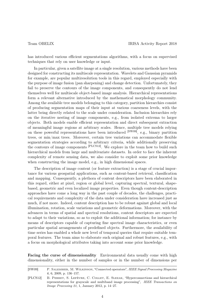has introduced various efficient segmentations algorithms, with a focus on supervised techniques that rely on user knowledge or input.

In particular, given a satellite image at a single resolution, various methods have been designed for constructing its multiscale representation. Wavelets and Gaussian pyramids for example, are popular multiresolution tools in this regard, employed especially with the purpose of image fusion (pan sharpening) and change detection. Unfortunately, they fail to preserve the contours of the image components, and consequently do not lend themselves well for multiscale object-based image analysis. Hierarchical representations form a relevant alternative introduced by the mathematical morphology community. Among the available tree models belonging to this category, partition hierarchies consist of producing segmentation maps of their input at various coarseness levels, with the latter being directly related to the scale under consideration. Inclusion hierarchies rely on the iterative nesting of image components, e.g., from isolated extrema to larger objects. Both models enable efficient representation and direct subsequent extraction of meaningful image regions at arbitrary scales. Hence, multiple tree models relying on these powerful representations have been introduced [SW09], e.g., binary partition trees, or min/max trees. Moreover, certain tree variations can accommodate flexible segmentation strategies according to arbitrary criteria, while additionally preserving the contours of image components [PLCS12]. We explore in the team how to build such hierarchical models from large and multivariate datasets. In order to face the inherent complexity of remote sensing data, we also consider to exploit some prior knowledge when constructing the image model, e.g., in high dimensional spaces.

The description of image content (or feature extraction) is a stage of crucial importance for various geospatial applications, such as content-based retrieval, classification and mapping. Consequently, a plethora of content descriptors have been elaborated in this regard, either at pixel, region or global level, capturing spectral, textural, shapebased, geometric and even localized image properties. Even though content-description approaches have come a long way in the past couple of decades, the challenges, practical requirements and complexity of the data under consideration have increased just as much, if not more. Indeed, content description has to be robust against global and local illumination, rotation, scale variations and geometric deformations. Moreover, with the advances in terms of spatial and spectral resolutions, content descriptors are expected to adapt to their variations, so as to exploit the additional information; for instance by means of descriptors capable of capturing fine spectral image characteristics, or even particular spatial arrangements of predefined objects. Furthermore, the availability of time series has enabled a whole new level of temporal queries that require suitable temporal features. The team aims to elaborate such original and robust features, e.g., with a focus on morphological attributes taking into account some prior knowledge.

Facing the curse of dimensionality Environmental data usually come with high dimensionality, either in the number of samples or in the number of dimensions per

| [SW09] | P. SALEMBIER, M. WILKINSON, "Connected operators", IEEE Signal Processing Magazine |
|--------|------------------------------------------------------------------------------------|
|        | $6, 6, 2009$ , p. 136-157.                                                         |
|        |                                                                                    |

[PLCS12] B. Perret, S. Lefèvre, C. Collet, E. Slezak, "Hyperconnections and hierarchical representations for grayscale and multiband image processing", IEEE Transactions on Image Processing 21, 1, January 2012, p. 14–27.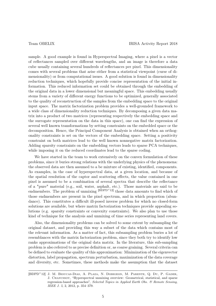sample. A good example is found in Hyperspectral Imaging, where a pixel is a vector of reflectances sampled over different wavelengths, and an image is therefore a data cube usually containing several hundreds of reflectances per pixel. This dimensionality comes with several problems that arise either from a statistical viewpoint (curse of dimensionality) or from computational issues. A good solution is found in dimensionality reduction techniques, which hopefully provide concise representation of the initial information. This reduced information set could be obtained through the embedding of the original data in a lower dimensional but meaningful space. This embedding usually stems from a variety of different energy functions to be optimized, generally associated to the quality of reconstruction of the samples from the embedding space to the original input space. The matrix factorization problem provides a well-grounded framework to a wide class of dimensionality reduction techniques. By decomposing a given data matrix into a product of two matrices (representing respectively the embedding space and the surrogate representation on the data in this space), one can find the expression of several well known transformations by setting constraints on the embedded space or the decomposition. Hence, the Principal Component Analysis is obtained when an orthogonality constraints is set on the vectors of the embedding space. Setting a positivity constraint on both matrices lead to the well known nonnegative matrix factorization. Adding sparsity constraints on the embedding vectors leads to sparse PCA techniques, while imposing it on the reduced coordinates lead to the sparse coding.

We have started in the team to work extensively on the convex formulation of these problems, since it buries strong relations with the underlying physics of the phenomena: the observed data are then assumed to a be mixture of existing, identified, components. As examples, in the case of hyperspectral data, at a given location, and because of the spatial resolution of the captor and scattering effects, the value contained in one pixel is assumed to be a combination of several spectra that describe the reflectance of a "pure" material (e.g., soil, water, asphalt, etc.). Those materials are said to be endmembers. The problem of unmixing  $[BDPD+12]$  those data amounts to find which of those endmembers are present in the pixel spectrum, and in which proportion (abundance). This constitutes a difficult ill-posed inverse problem for which no closed-form solutions are available, but where matrix factorization techniques provide appealing solutions (e.g. sparsity constraints or convexity constraints). We also plan to use those kind of technique for the analysis and unmixing of time series representing land covers.

Also, the dimensionality problems can be solved to some extent by subsampling the original dataset, and providing this way a subset of the data which contains most of the relevant information. As a matter of fact, this subsampling problem buries a lot of resemblances with the matrix factorization problem, since they both try to identify low ranks approximations of the original data matrix. In the literature, this sub-sampling problem is also referred to as precise definition or, as coarse graining. Several criteria can be defined to evaluate the quality of this approximation: Minimization of the eigenvector distortion, label propagation, spectrum perturbation, maximization of the data coverage and diversity, etc. Sometimes, these methods make the assumption that the dataset

<sup>[</sup>BDPD<sup>+</sup>12] J. M. Bioucas-Dias, A. Plaza, N. Dobigeon, M. Parente, Q. Du, P. Gader, J. Chanussot, "Hyperspectral unmixing overview: Geometrical, statistical, and sparse regression-based approaches", Selected Topics in Applied Earth Obs. & Remote Sensing, IEEE J. 5, 2, 2012, p. 354–379.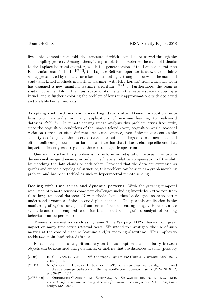lives onto a smooth manifold, the structure of which should be preserved through the sub-sampling process. Among others, it is possible to characterize the manifold thanks to the Laplace-Beltrami operator, which is a generalization of the Laplace operator to Riemannian manifolds. In [CL06], the Laplace-Beltrami operator is shown to be fairly well approximated by the Gaussian kernel, exhibiting a strong link between the manifold study and kernel methods in machine learning (with RBF kernels) from which the team has designed a new manifold learning algorithm <sup>[CBJ11]</sup>. Furthermore, the team is studying the manifold in the input space, or its image in the feature space induced by a kernel, and is further exploring the problem of low rank approximations with dedicated and scalable kernel methods.

Adapting distributions and correcting data shifts Domain adaptation problems occur naturally in many applications of machine learning to real-world datasets [QCSSL09]. In remote sensing image analysis this problem arises frequently, since the acquisition conditions of the images (cloud cover, acquisition angle, seasonal variations) are most often different. As a consequence, even if the images contain the same type of objects, the observed data distribution undergoes a d-dimensional and often nonlinear spectral distortion, i.e. a distortion that is local, class-specific and that impacts differently each region of the electromagnetic spectrum.

One way to solve this problem is to perform an adaptation between the two ddimensional image domains, in order to achieve a relative compensation of the shift by matching the data clouds to each other. Provided that the data are expressed as graphs and embed a topological structure, this problem can be seen as a graph matching problem and has been tackled as such in hyperspectral remote sensing.

Dealing with time series and dynamic patterns With the growing temporal resolution of remote sensors come new challenges including knowledge extraction from these large temporal datasets. New methods should then be designed so as to better understand dynamics of the observed phenomenons. One possible application is the monitoring of agricultural plots from series of remote sensing images. Here, data are available and their temporal resolution is such that a fine-grained analysis of farming behaviors can be performed.

Time-sensitive metrics (such as Dynamic Time Warping, DTW) have shown great impact on many time series retrieval tasks. We intend to investigate the use of such metrics at the core of machine learning and/or indexing algorithms. This implies to tackle two main (and related) issues.

First, many of these algorithms rely on the assumption that similarity between objects can be measured using distances, or metrics that are distances in some (possibly

| [CL06]  | R. COIFMAN, S. LAFON, "Diffusion maps", Applied and Comput. Harmonic Anal. 21, 1, |
|---------|-----------------------------------------------------------------------------------|
|         | $2006. \text{ p. } 5-30.$                                                         |
| [CBJ11] | N. COURTY, T. BURGER, L. JOHANN, "PerTurbo: a new classification algorithm based  |

on the spectrum perturbations of the Laplace-Beltrami operator", in:  $ECML/PKDD$ , 1, p. 359–374, 2011.

<sup>[</sup>QCSSL09] J. Quiñonero-Candela, M. Sugiyama, A. Schwaighofer, N. D. Lawrence, Dataset shift in machine learning, Neural information processing series, MIT Press, Cambridge, MA, 2009.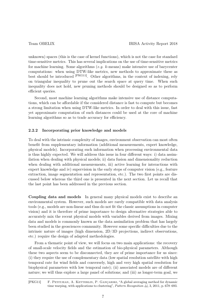unknown) spaces (this is the case of kernel functions), which is not the case for standard time-sensitive metrics. This has several implications on the use of time-sensitive metrics for machine learning. Some algorithms  $(e, q, k$ -means) make intensive use of barycenter computations: when using DTW-like metrics, new methods to approximate these as best should be introduced [PKG11]. Other algorithms, in the context of indexing, rely on triangular inequality to prune out the search space at query time. When such inequality does not hold, new pruning methods should be designed so as to perform efficient queries.

Second, most machine learning algorithms make intensive use of distance computations, which can be affordable if the considered distance is fast to compute but becomes a strong limitation when using DTW-like metrics. In order to deal with this issue, fast yet approximate computation of such distances could be used at the core of machine learning algorithms so as to trade accuracy for efficiency.

#### 2.2.2 Incorporating prior knowledge and models

To deal with the intrinsic complexity of images, environment observation can most often benefit from supplementary information (additional measurements, expert knowledge, physical models). Incorporating such information when processing environmental data is thus highly expected. We will address this issue in four different ways: i) data assimilation when dealing with physical models; ii) data fusion and dimensionality reduction when dealing with additional measurements, iii) active learning for interactions with expert knowledge and iv) supervision in the early steps of computer vision (e.g., feature extraction, image segmentation and representation, etc.). The two first points are discussed below whereas the third one is presented in the next section. Let us recall that the last point has been addressed in the previous section.

Coupling data and models In general many physical models exist to describe an environmental system. However, such models are rarely compatible with data analysis tools (e.g., models are non-linear and thus do not fit the classic assumptions in computer vision) and it is therefore of prime importance to design alternative strategies able to accurately mix the recent physical models with variables derived from images. Mixing data and models is commonly known as the data assimilation problem that has largely been studied in the geosciences community. However some specific difficulties due to the intrinsic nature of images (high dimension, 2D/3D projections, indirect observations, etc.) require the design of adapted methodologies.

From a thematic point of view, we will focus on two main applications: the recovery of small-scale velocity fields and the estimation of bio-physical parameters. Although these two aspects seem to be disconnected, they are of prime importance for us since: (i) they require the use of complementary data (low spatial resolution satellite with high temporal rate for wind fields and conversely, high and very high spatial resolution for biophysical parameters with low temporal rate); (ii) associated models are of different nature; we will thus explore a large panel of solutions; and (iii) as longer-term goal, we

<sup>[</sup>PKG11] F. Petitjean, A. Ketterlin, P. Gançarski, "A global averaging method for dynamic time warping, with applications to clustering", Pattern Recognition 44, 3, 2011, p. 678-693.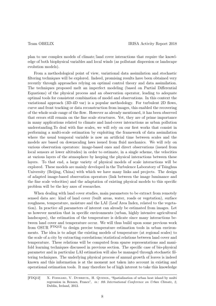plan to use complex models of climate/land cover interactions that require the knowledge of both biophysical variables and local winds (as pollutant dispersion or landscape evolution models).

From a methodological point of view, variational data assimilation and stochastic filtering techniques will be explored. Indeed, promising results have been obtained very recently through approaches relying on optimal control theory and data assimilation. The techniques proposed melt an imperfect modeling (based on Partial Differential Equations) of the physical process and an observation operator, leading to adequate optimal tools for consistent combination of model and observations. In this context the variational approach (3D-4D var) is a popular methodology. For turbulent 2D flows, curve and front tracking or data reconstruction from images, this enabled the recovering of the whole scale range of the flow. However as already mentioned, it has been observed that errors still remain on the fine scale structures. Yet, they are of prime importance in many applications related to climate and land-cover interactions as urban pollution understanding.To deal with fine scales, we will rely on our first works that consist in performing a multi-scale estimation by exploiting the framework of data assimilation where the usual temporal variable is now an artificial time between scales and the models are based on downscaling laws issued from fluid mechanics. We will rely on various observation operators: image-based ones and direct observations (issued from local sensors at lower altitudes) in order to estimate, in a single scheme, the velocities at various layers of the atmosphere by keeping the physical interactions between these layers. To that end, a large variety of physical models of scale interactions will be explored. These models are mainly developed in the Turbulence Laboratory of Tsinghua University (Beijing, China) with which we have many links and projects. The design of adapted image-based observation operators (link between the image luminance and the fine scale velocities) and the adaptation of existing physical models to this specific problem will be the key axes of researches.

When dealing with land cover studies, main parameters to be extract from remotely sensed data are: kind of land cover (built areas, water, roads or vegetation), surface roughness, temperature, moisture and the LAI (Leaf Area Index, related to the vegetation). In practice all parameters of interest can already be estimated from images. Let us however mention that in specific environments (urban, highly intensive agricultural landscapes), the estimation of the temperature is delicate since many interactions between land cover and temperature occur. We will thus build upon some previous work from OSUR [FDQ12] to design precise temperature estimation tools in urban environments. The idea is to adapt the existing models of temperature (at regional scales) to the scale of a city by extracting correlations/statistical relations between land cover and temperature. These relations will be computed from sparse representations and manifold learning techniques discussed in previous section. The specific case of bio-physical parameter and in particular LAI estimation will also be managed through stochastic filtering techniques. The underlying physical process of annual growth of leaves is indeed known and this information is at the moment not taken into account in existing and operational estimation tools. It may therefore be of high interest to take this knowledge

<sup>[</sup>FDQ12] X. Foissard, V. Dubreuil, H. Quenol, "Spatialization of urban heat island by multi regression in Rennes, France", in: 8th International Conference on Urban Climate, 2, Dublin, Ireland, 2012.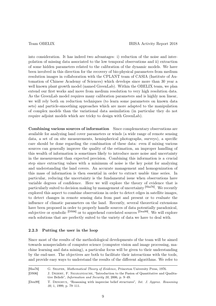into consideration. It has indeed two advantages: i) reduction of the noise and interpolation of missing data associated to the low temporal observations and ii) extraction of some hidden parameters related to the calibration of the dynamic models. We have been involved in this direction for the recovery of bio-physical parameters from medium resolution images in collaboration with the CPLANT team of CASIA (Institute of Automation of Chinese Academy of Sciences) which develops since more than 30 year a well known plant growth model (named GreenLab). Within the OBELIX team, we plan extend our first works and move from medium resolution to very high resolution data. As the GreenLab model requires many calibration parameters and is highly non linear, we will rely both on reduction techniques (to learn some parameters on known data sets) and particle-smoothing approaches which are more adapted to the manipulation of complex models than the variational data assimilation (in particular they do not require adjoint models which are tricky to design with GreenLab).

Combining various sources of information Since complementary observations are available for analyzing land cover parameters or winds (a wide range of remote sensing data, a set of on site measurements, hemispherical photographs, surveys), a specific care should be done regarding the combination of these data: even if mixing various sources can generally improve the quality of the estimation, an improper handling of this wealth of information is sometimes likely to introduce more noise and uncertainty in the measurement than expected precision. Combining this information is a crucial step since extracting values with a minimum of noise is the key point for analyzing and understanding the land covers. An accurate management and homogenization of this mass of information is then essential in order to extract usable time series. In particular, reducing the uncertainty is the fundamental issue when observations have variable degrees of confidence. Here we will explore the theory of evidence that is particularly suited to decision making by management of uncertainty <sup>[Sha76]</sup>. We recently explored this aspect to combine observations in order to detect edges in satellite images, to detect changes in remote sensing data from past and present or to evaluate the influence of climatic parameters on the land. Recently, several theoretical extensions have been proposed in order to properly handle sources of data potentially paradoxical, subjective or symbolic <sup>[DS06]</sup> or to apprehend correlated sources <sup>[Den99]</sup>. We will explore such solutions that are perfectly suited to the variety of data we have to deal with.

#### 2.2.3 Putting the user in the loop

Since most of the results of the methodological developments of the team will be aimed towards nonspecialists of computer science (computer vision and image processing, machine learning and data mining), a particular focus will be given to their understanding by the end-user. The objectives are both to facilitate their interactions with the tools, and provide easy ways to understand the results of the different algorithms. We refer to

[Sha76] G. Shafer, Mathematical Theory of Evidence, Princeton University Press, 1976.

[Den99] T. Denoeux, "Reasoning with imprecise belief structures", Int. J. Approx. Reasoning 20, 1, 1999, p. 79–111.

<sup>[</sup>DS06] J. Dezert, F. Smarandache, "Introduction to the Fusion of Quantitative and Qualitative Beliefs", Information and Security 20, 2006, p. 9–49.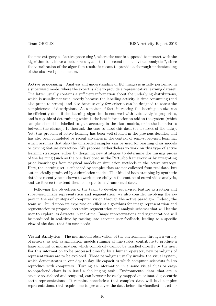the first category as "active processing", where the user is supposed to interact with the algorithm to achieve a better result, and to the second one as "visual analytics", since the visualization of the algorithm results is meant to provide a thorough understanding of the observed phenomenon.

Active processing Analysis and understanding of EO images is usually performed in a supervised mode, where the expert is able to provide a representative learning dataset. The latter usually contains a sufficient information about the underlying distributions, which is usually not true, mostly because the labelling activity is time consuming (and also prone to errors), and also because only few criteria can be designed to assess the completeness of descriptions. As a matter of fact, increasing the learning set size can be efficiently done if the learning algorithm is endowed with auto-analysis properties, and is capable of determining which is the best information to add to the system (which samples should be labelled to gain accuracy in the class models, or in the boundaries between the classes). It then ask the user to label this data (or a subset of the data). Yet, this problem of active learning has been well studied in the previous decades, and has also been completed by recent advances in the context of semi-supervised learning, which assumes that also the unlabelled samples can be used for learning class models or driving feature extraction. We propose nethertheless to work on this type of active learning strategies, either by designing new strategies to determine the missing pieces of the learning (such as the one developed in the Perturbo framework or by integrating prior knowledges from physical models or simulation methods in the active strategy. Here, the learning set is enhanced by samples that are not collected from real data, but automatically produced by a simulation model. This kind of bootstrapping by synthetic data has recently been shown to work successfully in the context of crowd video analysis, and we foresee to extend these concepts to environmental data.

Following the objectives of the team to develop supervised feature extraction and supervised image representation and segmentation, we also consider involving the expert in the earlier steps of computer vision through the active paradigm. Indeed, the team will build upon its expertise on efficient algorithms for image representation and segmentation to propose interactive segmentation and analysis schemes that will let the user to explore its datasets in real-time. Image representations and segmentations will be produced in real-time by tacking into account user feedback, leading to a specific view of the data that fits user needs.

Visual Analytics The multimodal observation of the environment through a variety of sensors, as well as simulation models running at fine scales, contribute to produce a large amount of information, which complexity cannot be handled directly by the user. For this information to be processed directly by a human operator, new paradigms of representations are to be explored. Those paradigms usually involve the visual system, which demonstrates in our day to day life capacities which computer scientists fail to reproduce with computers. Turning an information in a some visual clues or easyto-apprehend chart is in itself a challenging task. Environmental data, that are in essence spatialized and temporal, can however be easily mapped on animated geocentric earth representations. It remains nonetheless that complex data will lead complex representations, that require one to pre-analyze the data before its visualization, either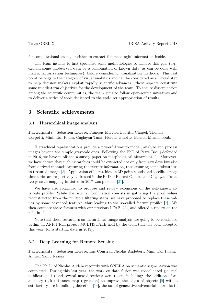for computational issues, or either to extract the meaningful information inside.

The team intends to first specialize some methodologies to achieve this goal (e.g., explain some unobserved data by a combination of known data, as can be done with matrix factorization techniques), before considering visualization methods. This last point belongs to the category of visual analytics and can be considered as a crucial step to help decision makers exploit rapidly scientific advances. those aspects constitute some middle-term objectives for the development of the team. To ensure dissemination among the scientific communities, the team aims to follow open-source initiatives and to deliver a series of tools dedicated to the end-user appropriation of results.

# 3 Scientific achievements

#### 3.1 Hierarchical image analysis

Participants: Sébastien Lefèvre, François Merciol, Laetitia Chapel, Thomas Corpetti, Minh Tan Pham, Caglayan Tuna, Florent Guiotte, Behzad Mirmahboub.

Hierarchical representations provide a powerful way to model, analyze and process images beyond the simple grayscale ones. Following the PhD of Petra Bosilj defended in 2016, we have published a survey paper on morphological hierarchies [\[2\]](#page-29-0). Moreover, we have shown that such hierarchies could be extracted not only from raw data but also from derived channels capturing the texture information, thus ensuring some robustness to textured images [\[8\]](#page-29-1). Application of hierarchies on 3D point clouds and satellite image time series are respectively addressed in the PhD of Florent Guiotte and Caglayan Tuna. Large-scale mapping initiated in 2017 was pursued [\[21\]](#page-31-0).

We have also continued to propose and review extensions of the well-known attribute profile. While the original formulation consists in gathering the pixel values reconstructed from the multiple filtering steps, we have proposed to replace these values by some advanced features, thus leading to the so-called feature profiles [\[7\]](#page-29-2). We then compare these features with our previous LFAP [\[23\]](#page-31-1), and offered a review on the field in [\[24\]](#page-31-2).

Note that these researches on hierarchical image analysis are going to be continued within an ANR PRCI project MULTISCALE held by the team that has been accepted this year (for a starting date in 2019).

#### 3.2 Deep Learning for Remote Sensing

Participants: Sébastien Lefèvre, Luc Courtrai, Nicolas Audebert, Minh Tan Pham, Ahmed Samy Nassar.

The Ph.D. of Nicolas Audebert jointly with ONERA on semantic segmentation was completed. During this last year, the work on data fusion was consolidated (journal publication [\[1\]](#page-29-3)) and several new directions were taken, including: the addition of an ancillary task (distance map regression) to improve the edges of objects [\[9\]](#page-29-4) with a satisfactory use in building detection [\[14\]](#page-30-0), the use of generative adverserial networks to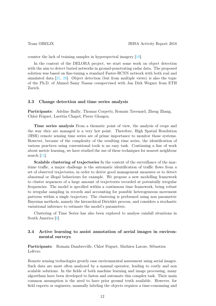counter the lack of training samples in hyperspectral imagery [\[10\]](#page-29-5).

In the context of the DELORA project, we start some work on object detection with the aim to detect buried networks in ground-penetrating radar data. The proposed solution was based on fine-tuning a standard Faster-RCNN network with both real and simulated data [\[25,](#page-31-3) [26\]](#page-31-4). Object detection (but from multiple views) is also the topic of the Ph.D. of Ahmed Samy Nassar cosupervised with Jan Dirk Wegner from ETH Zurich.

### 3.3 Change detection and time series analysis

Participants: Adeline Bailly, Thomas Corpetti, Romain Tavenard, Zheng Zhang, Chloé Friguet, Laetitia Chapel, Pierre Gloagen.

Time series analysis From a thematic point of view, the analysis of crops and the way they are managed is a very hot point. Therefore, High Spatial Resolution (HSR) remote sensing time series are of prime importance to monitor those systems. However, because of the complexity of the resulting time series, the identification of various practices using conventional tools is no easy task. Continuing a line of work about metric learning, we have studied the use of these techniques for nearest neighbour search [\[11\]](#page-30-1).

Scalable clustering of trajectories In the context of the surveillance of the maritime traffic, a major challenge is the automatic identification of traffic flows from a set of observed trajectories, in order to derive good management measures or to detect abnormal or illegal behaviours for example. We propose a new modelling framework to cluster sequences of a large amount of trajectories recorded at potentially irregular frequencies. The model is specified within a continuous time framework, being robust to irregular sampling in records and accounting for possible heterogeneous movement patterns within a single trajectory. The clustering is performed using non parametric Bayesian methods, namely the hierarchical Dirichlet process, and considers a stochastic variational inference to estimate the model's parameters.

Clustering of Time Series has also been explored to analyse rainfall situations in South America [\[6\]](#page-29-6).

# 3.4 Active learning to assist annotation of aerial images in environmental surveys

Participants: Romain Dambreville, Chloé Friguet, Mathieu Laroze, Sébastien Lefèvre.

Remote sensing technologies greatly ease environmental assessment using aerial images. Such data are most often analyzed by a manual operator, leading to costly and non scalable solutions. In the fields of both machine learning and image processing, many algorithms have been developed to fasten and automate this complex task. Their main common assumption is the need to have prior ground truth available. However, for field experts or engineers, manually labeling the objects requires a time-consuming and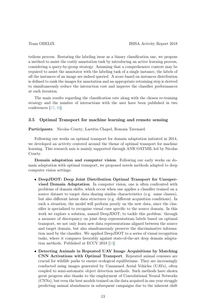tedious process. Restating the labeling issue as a binary classification one, we propose a method to assist the costly annotation task by introducing an active learning process, considering a query-by-group strategy. Assuming that a comprehensive context may be required to assist the annotator with the labeling task of a single instance, the labels of all the instances of an image are indeed queried. A score based on instances distribution is defined to rank the images for annotation and an appropriate retraining step is derived to simultaneously reduce the interaction cost and improve the classifier performances at each iteration.

The main results regarding the classification rate along with the chosen re-training strategy and the number of interactions with the user have been published in two conferences [\[17,](#page-30-2) [16\]](#page-30-3).

#### 3.5 Optimal Transport for machine learning and remote sensing

Participants: Nicolas Courty, Laetitia Chapel, Romain Tavenard.

Following our works on optimal transport for domain adaptation initiated in 2014, we developed an activity centered around the theme of optimal transport for machine learning. This research axis is mainly supported through ANR OATMIL led by Nicolas Courty.

Domain adaptation and computer vision. Following our early works on domain adaptation with optimal transport, we proposed novels methods adapted to deep computer vision settings:

- DeepJDOT: Deep Joint Distribution Optimal Transport for Unsupervised Domain Adaptation. In computer vision, one is often confronted with problems of domain shifts, which occur when one applies a classifier trained on a source dataset to target data sharing similar characteristics (e.g. same classes), but also different latent data structures (e.g. different acquisition conditions). In such a situation, the model will perform poorly on the new data, since the classifier is specialized to recognize visual cues specific to the source domain. In this work we explore a solution, named DeepJDOT, to tackle this problem: through a measure of discrepancy on joint deep representations/labels based on optimal transport, we not only learn new data representations aligned between the source and target domain, but also simultaneously preserve the discriminative information used by the classifier. We applied DeepJDOT to a series of visual recognition tasks, where it compares favorably against state-of-the-art deep domain adaptation methods. Published at ECCV 2018 [\[13\]](#page-30-4).
- Detecting Animals in Repeated UAV Image Acquisitions by Matching CNN Activations with Optimal Transport. Repeated animal censuses are crucial for wildlife parks to ensure ecological equilibriums. They are increasingly conducted using images generated by Unmanned Aerial Vehicles (UAVs), often coupled to semi-automatic object detection methods. Such methods have shown great progress also thanks to the employment of Convolutional Neural Networks (CNNs), but even the best models trained on the data acquired in one year struggle predicting animal abundances in subsequent campaigns due to the inherent shift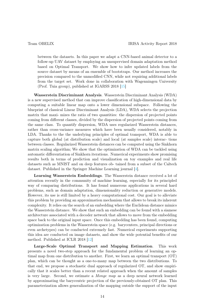between the datasets. In this paper we adapt a CNN-based animal detector to a follow-up UAV dataset by employing an unsupervised domain adaptation method based on Optimal Transport. We show how to infer updated labels from the source dataset by means of an ensemble of bootstraps. Our method increases the precision compared to the unmodified CNN, while not requiring additional labels from the target set. Work done in collaboration with Wagenningen University (Prof. Tuia group), published at IGARSS 2018 [\[15\]](#page-30-5)

Wasserstein Discriminant Analysis. Wasserstein Discriminant Analysis (WDA) is a new supervised method that can improve classification of high-dimensional data by computing a suitable linear map onto a lower dimensional subspace. Following the blueprint of classical Linear Discriminant Analysis (LDA), WDA selects the projection matrix that maxi- mizes the ratio of two quantities: the dispersion of projected points coming from different classes, divided by the dispersion of projected points coming from the same class. To quantify dispersion, WDA uses regularized Wasserstein distances, rather than cross-variance measures which have been usually considered, notably in LDA. Thanks to the the underlying principles of optimal transport, WDA is able to capture both global (at distribution scale) and local (at samples scale) interac- tions between classes. Regularized Wasserstein distances can be computed using the Sinkhorn matrix scaling algorithm; We show that the optimization of WDA can be tackled using automatic differentiation of Sinkhorn iterations. Numerical experiments show promising results both in terms of prediction and visualization on toy examples and real life datasets such as MNIST and on deep features ob- tained from a subset of the Caltech dataset. Published in the Springer Machine Learning journal [\[4\]](#page-29-7).

Learning Wasserstein Embeddings. The Wasserstein distance received a lot of attention recently in the community of machine learning, especially for its principled way of comparing distributions. It has found numerous applications in several hard problems, such as domain adaptation, dimensionality reduction or generative models. However, its use is still limited by a heavy computational cost. Our goal is to alleviate this problem by providing an approximation mechanism that allows to break its inherent complexity. It relies on the search of an embedding where the Euclidean distance mimics the Wasserstein distance. We show that such an embedding can be found with a siamese architecture associated with a decoder network that allows to move from the embedding space back to the original input space. Once this embedding has been found, computing optimization problems in the Wasserstein space (e.g. barycenters, principal directions or even archetypes) can be conducted extremely fast. Numerical experiments supporting this idea are conducted on image datasets, and show the wide potential benefits of our method. Published at ICLR 2018 [\[12\]](#page-30-6)

Large-Scale Optimal Transport and Mapping Estimation. This work presents a novel two-step approach for the fundamental problem of learning an optimal map from one distribution to another. First, we learn an optimal transport (OT) plan, which can be thought as a one-to-many map between the two distributions. To that end, we propose a stochastic dual approach of regularized OT, and show empirically that it scales better than a recent related approach when the amount of samples is very large. Second, we estimate a Monge map as a deep neural network learned by approximating the barycentric projection of the previously-obtained OT plan. This parameterization allows generalization of the mapping outside the support of the input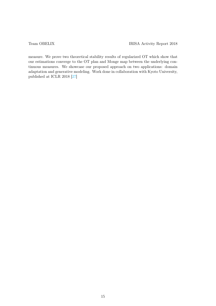measure. We prove two theoretical stability results of regularized OT which show that our estimations converge to the OT plan and Monge map between the underlying continuous measures. We showcase our proposed approach on two applications: domain adaptation and generative modeling. Work done in collaboration with Kyoto University, published at ICLR 2018 [\[27\]](#page-31-5)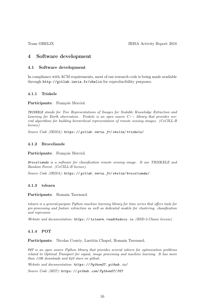# 4 Software development

# 4.1 Software development

In compliance with ACM requirements, most of our research code is being made available through http://gitlab.inria.fr/obelix for reproducibility purposes.

## 4.1.1 Triskele

Participants: François Merciol.

TRISKELE stands for Tree Representations of Images for Scalable Knowledge Extraction and Learning for Earth observation. Triskele is an open source  $C_{++}$  library that provides several algorithms for building hierarchical representation of remote sensing images. (CeCILL-B licence)

Source Code (IRISA): https: // gitlab. inria. fr/ obelix/ triskele/

## 4.1.2 Broceliande

Participants: François Merciol.

Broceliande is a software for classification remote sensing image. It use TRISKELE and Random Forest. (CeCILL-B licence).

Source Code (IRISA): https: // gitlab. inria. fr/ obelix/ broceliande/

## 4.1.3 tslearn

Participants: Romain Tavenard.

tslearn is a general-purpose Python machine learning library for time series that offers tools for pre-processing and feature extraction as well as dedicated models for clustering, classification and regression

Website and documentation: https: // tslearn. readthedocs. io (BSD-2-Clause license)

## 4.1.4 POT

Participants: Nicolas Courty, Laetitia Chapel, Romain Tavenard.

POT is an open source Python library that provides several solvers for optimization problems related to Optimal Transport for signal, image processing and machine learning. It has more than 110k downloads and 640 stars on github.

Website and documentation: https: // PythonOT. github. io/

Source Code (MIT): https: // github. com/ PythonOT/ POT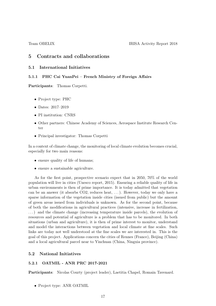# 5 Contracts and collaborations

### 5.1 International Initiatives

### 5.1.1 PHC Cai YuanPei – French Ministry of Foreign Affairs

Participants: Thomas Corpetti.

- Project type: PHC
- Dates: 2017–2019
- PI institution: CNRS
- Other partners: Chinese Academy of Sciences, Aerospace Institute Research Center
- Principal investigator: Thomas Corpetti

In a context of climate change, the monitoring of local climate evolution becomes crucial, especially for two main reasons:

- ensure quality of life of humans;
- ensure a sustainable agriculture.

As for the first point, prospective scenario expect that in 2050, 70% of the world population will live in cities (Unesco report, 2015). Ensuring a reliable quality of life in urban environments is then of prime importance. It is today admitted that vegetation can be an answer (it absorbs CO2, reduces heat, . . . ). However, today we only have a sparse information of the vegetation inside cities (issued from public) but the amount of green areas issued from individuals is unknown. As for the second point, because of both the modifications in agricultural practices (intensive, increase in fertilization, . . . ) and the climate change (increasing temperature inside parcels), the evolution of resources and potential of agriculture is a problem that has to be monitored. In both situations (urban and agriculture), it is then of prime interest to monitor, understand and model the interactions between vegetation and local climate at fine scales. Such links are today not well understood at the fine scales we are interested in. This is the goal of this project. Applications concern the cities of Rennes (France), Beijing (China) and a local agricultural parcel near to Yinchuan (China, Ningxia province).

### 5.2 National Initiatives

#### 5.2.1 OATMIL - ANR PRC 2017-2021

Participants: Nicolas Courty (project leader), Laetitia Chapel, Romain Tavenard.

• Project type: ANR OATMIL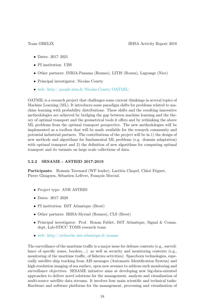- Dates: 2017–2021
- PI institution: UBS
- Other partners: INRIA-Panama (Rennes), LITIS (Rouen), Lagrange (Nice)
- Principal investigator: Nicolas Courty
- [web: http://people.irisa.fr/Nicolas.Courty/OATMIL/](http://people.irisa.fr/Nicolas.Courty/OATMIL/)

OATMIL is a research project that challenges some current thinkings in several topics of Machine Learning (ML). It introduces some paradigm shifts for problems related to machine learning with probability distributions. These shifts and the resulting innovative methodologies are achieved by bridging the gap between machine learning and the theory of optimal transport and the geometrical tools it offers and by rethinking the above ML problems from the optimal transport perspective. The new methodologies will be implemented as a toolbox that will be made available for the research community and potential industrial partners. The contributions of the project will be in 1) the design of new methods and algorithms for fundamental ML problems (e.g. domain adaptation) with optimal transport and 2) the definition of new algorithms for computing optimal transport and its variants on large scale collections of data.

# 5.2.2 SESAME - ASTRID 2017-2019

Participants: Romain Tavenard (WP leader), Laetitia Chapel, Chloé Friguet, Pierre Gloaguen, Sébastien Lefèvre, François Merciol.

- Project type: ANR ASTRID
- Dates: 2017–2020
- PI institution: IMT Atlantique (Brest)
- Other partners: IRISA-Myriad (Rennes), CLS (Brest)
- Principal investigator: Prof. Ronan Fablet, IMT Atlantique, Signal & Comm. dept, Lab-STICC TOMS research team
- [web: http://recherche.imt-atlantique.fr/sesame](http://recherche.imt-atlantique.fr/sesame)

The surveillance of the maritime traffic is a major issue for defense contexts (e.g., surveillance of specific zones, borders,...) as well as security and monitoring contexts (e.g., monitoring of the maritime traffic, of fisheries activities). Spaceborn technologies, especially satellite ship tracking from AIS messages (Automatic Identification System) and high-resolution imaging of sea surface, open new avenues to address such monitoring and surveillance objectives. SESAME initiative aims at developing new big-data-oriented approaches to deliver novel solutions for the management, analysis and visualization of multi-source satellite data streams. It involves four main scientific and technical tasks: Hardware and software platforms for the management, processing and visualization of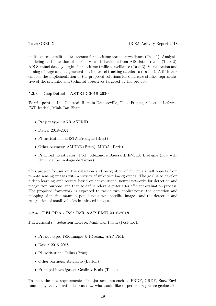multi-source satellite data streams for maritime traffic surveillance (Task 1), Analysis, modeling and detection of marine vessel behaviours from AIS data streams (Task 2), AIS-Sentinel data synergies for maritime traffic surveillance (Task 3), Visualization and mining of large-scale augmented marine vessel tracking databases (Task 4). A fifth task embeds the implementation of the proposed solutions for dual case-studies representative of the scientific and technical objectives targeted by the project.

### 5.2.3 DeepDetect - ASTRID 2018-2020

Participants: Luc Courtrai, Romain Dambreville, Chloé Friguet, Sébastien Lefèvre (WP leader), Minh-Tan Pham.

- Project type: ANR ASTRID
- Dates: 2018–2021
- PI institution: ENSTA Bretagne (Brest)
- Other partners: AMURE (Brest), MBDA (Paris)
- Principal investigator: Prof. Alexandre Baussard, ENSTA Bretagne (now with Univ. de Technologie de Troyes)

This project focuses on the detection and recognition of multiple small objects from remote sensing images with a variety of unknown backgrounds. The goal is to develop a deep learning architecture based on convolutional neural networks for detection and recognition purpose, and then to define relevant criteria for efficient evaluation process. The proposed framework is expected to tackle two applications: the detection and mapping of marine mammal populations from satellite images, and the detection and recognition of small vehicles in infrared images.

### 5.2.4 DELORA - Pôle I&R AAP PME 2016-2018

Participants: Sébastien Lefèvre, Minh-Tan Pham (Post-doc).

- Project type: Pôle Images & Réseaux, AAP PME
- Dates: 2016–2018
- PI institution: Tellus (Bruz)
- Other partners: Artefacto (Betton)
- Principal investigator: Geoffroy Etaix (Tellus)

To meet the new requirements of major accounts such as ERDF, GRDF, Suez Environnment, La Lyonnaise des Eaux, ... who would like to perform a precise geolocation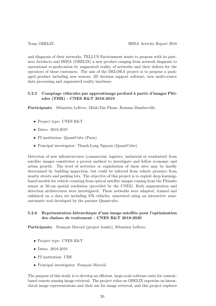and diagnosis of their networks, TELLUS Environment wants to propose with its partners Artefacto and IRISA (OBELIX) a new product ranging from network diagnosis to operational re-geolocation by augmented reality of networks and their defects for the operators of these customers. The aim of the DELORA project is to propose a packaged product including new sensors, 3D decision support software, new multi-source data processing and augmented reality hardware.

# 5.2.5 Comptage véhicules par apprentissage profond à partir d'images Pléiades (THR) - CNES R&T 2018-2019

Participants: Sébastien Lefèvre, Minh-Tan Pham, Romain Dambreville.

- Project type: CNES R&T
- Dates: 2018-2019
- PI institution: QuantCube (Paris)
- Principal investigator: Thanh-Long Nguyen (QuantCube)

Detection of new infrastructures (commercial, logistics, industrial or residential) from satellite images constitutes a proven method to investigate and follow economic and urban growth. The level of activities or exploitation of these sites may be hardly determined by building inspection, but could be inferred from vehicle presence from nearby streets and parking lots. The objective of this project is to exploit deep learningbased models for vehicle counting from optical satellite images coming from the Pleiades sensor at 50-cm spatial resolution (provided by the CNES). Both segmentation and detection architectures were investigated. These networks were adapted, trained and validated on a data set including 87k vehicles, annotated using an interactive semiautomatic tool developed by the partner Quantcube.

# 5.2.6 Représentation hiérarchique d'une image satellite pour l'optimisation des chaines de traitement - CNES R&T 2018-2020

Participants: François Merciol (project leader), Sébastien Lefèvre.

- Project type: CNES R&T
- Dates: 2018-2019
- PI institution: UBS
- Principal investigator: François Merciol

The purpose of this study is to develop an efficient, large-scale software suite for contentbased remote sensing image retrieval. The project relies on OBELIX expertise on hierarchical image representations and their use for image retrieval, and this project explores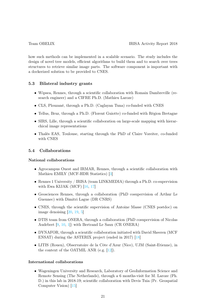how such methods can be implemented in a scalable scenario. The study includes the design of novel tree models, efficient algorithms to build them and to search over trees structures to retrieve similar image parts. The software component is important with a dockerized solution to be provided to CNES.

# 5.3 Bilateral industry grants

- Wipsea, Rennes, through a scientific collaboration with Romain Dambreville (research engineer) and a CIFRE Ph.D. (Mathieu Laroze)
- CLS, Plouzané, through a Ph.D. (Caglayan Tuna) co-funded with CNES
- Tellus, Bruz, through a Ph.D. (Florent Guiotte) co-funded with Région Bretagne
- SIRS, Lille, through a scientific collaboration on large-scale mapping with hierarchical image representations
- Thalès EAS, Toulouse, starting through the PhD of Claire Voreiter, co-funded with CNES

# 5.4 Collaborations

## National collaborations

- Agrocampus Ouest and IRMAR, Rennes, through a scientific collaboration with Mathieu EMILY (MCF-HDR Statistics) [\[3\]](#page-29-8)
- Rennes 1 University / IRISA (team LINKMEDIA) through a Ph.D. co-supervision with Ewa KIJAK (MCF) [\[16,](#page-30-3) [17\]](#page-30-2)
- Geosciences Rennes, through a collaboration (PhD cosupervision of Arthur Le Guennec) with Dimitri Lague (DR CNRS)
- CNES, through the scientific supervision of Antoine Masse (CNES postdoc) on image denoising  $[20, 19, 5]$  $[20, 19, 5]$  $[20, 19, 5]$  $[20, 19, 5]$  $[20, 19, 5]$
- DTIS team from ONERA, through a collaboration (PhD cosupervision of Nicolas Audebert [\[9,](#page-29-4) [10,](#page-29-5) [1\]](#page-29-3)) with Bertrand Le Saux (CR ONERA)
- DYNAFOR, through a scientific collaboration initiated with David Sheeren (MCF ENSAT) during the ASTERIX project (ended in 2017) [\[18\]](#page-30-9)
- LITIS (Rouen), Observatoire de la Côte d'Azur (Nice), UJM (Saint-Etienne), in the context of the OATMIL ANR (e.g. [\[12\]](#page-30-6)).

## International collaborations

• Wageningen University and Research, Laboratory of GeoInformation Science and Remote Sensing (The Netherlands), through a 6 months-visit for M. Laroze (Ph. D.) in this lab in 2018-19; scientific collaboration with Devis Tuia (Pr. Geospatial Computer Vision) [\[15\]](#page-30-5)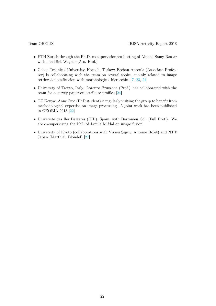- ETH Zurich through the Ph.D. co-supervision/co-hosting of Ahmed Samy Nassar with Jan Dirk Wegner (Ass. Prof.)
- Gebze Technical University, Kocaeli, Turkey: Erchan Aptoula (Associate Professor) is collaborating with the team on several topics, mainly related to image retrieval/classification with morphological hierarchies [\[7,](#page-29-2) [23,](#page-31-1) [24\]](#page-31-2)
- University of Trento, Italy: Lorenzo Bruzzone (Prof.) has collaborated with the team for a survey paper on attribute profiles [\[24\]](#page-31-2)
- TU Kenya: Anne Osio (PhD student) is regularly visiting the group to benefit from methodological expertise on image processing. A joint work has been published in GEOBIA 2018 [\[22\]](#page-31-6)
- Université des Iles Baléares (UIB), Spain, with Bartomeu Coll (Full Prof.). We are co-supervising the PhD of Jamila Mifdal on image fusion
- University of Kyoto (collaborations with Vivien Seguy, Antoine Rolet) and NTT Japan (Matthieu Blondel) [\[27\]](#page-31-5)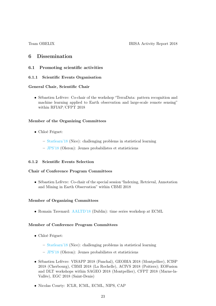# 6 Dissemination

- 6.1 Promoting scientific activities
- 6.1.1 Scientific Events Organisation

# General Chair, Scientific Chair

• Sébastien Lefèvre: Co-chair of the workshop "TerraData: pattern recognition and machine learning applied to Earth observation and large-scale remote sensing" within RFIAP/CFPT 2018

# Member of the Organizing Committees

- Chloé Friguet:
	- [Statlearn'18](https://statlearn.sciencesconf.org/resource/page/id/4) (Nice): challenging problems in statistical learning
	- [JPS'18](https://jps-2018.sciencesconf.org/) (Oleron): Jeunes probabilistes et statisticiens

# 6.1.2 Scientific Events Selection

## Chair of Conference Program Committees

• Sébastien Lefèvre: Co-chair of the special session "Indexing, Retrieval, Annotation and Mining in Earth Observation" within CBMI 2018

# Member of Organizing Committees

• Romain Tavenard: [AALTD'18](https://project.inria.fr/aaldt18/) (Dublin): time series workshop at ECML

## Member of Conference Program Committees

- Chloé Friguet:
	- [Statlearn'18](https://statlearn.sciencesconf.org/resource/page/id/4) (Nice): challenging problems in statistical learning
	- [JPS'18](https://jps-2018.sciencesconf.org/) (Oleron): Jeunes probabilistes et statisticiens
- Sébastien Lefèvre: VISAPP 2018 (Funchal), GEOBIA 2018 (Montpellier), ICISP 2018 (Cherbourg), CBMI 2018 (La Rochelle), ACIVS 2018 (Poitiers); EOFusion and DLT workshops within SAGEO 2018 (Montpellier), CFPT 2018 (Marne-la-Vallée), EGC 2018 (Saint-Denis)
- Nicolas Courty: ICLR, ICML, ECML, NIPS, CAP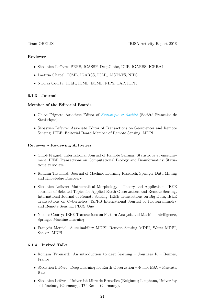### Team OBELIX IRISA Activity Report 2018

### Reviewer

- Sébastien Lefèvre: PRRS, ICASSP, DeepGlobe, ICIP, IGARSS, ICPRAI
- Laetitia Chapel: ICML, IGARSS, ICLR, AISTATS, NIPS
- Nicolas Courty: ICLR, ICML, ECML, NIPS, CAP, ICPR

## 6.1.3 Journal

### Member of the Editorial Boards

- Chloé Friguet: Associate Editor of [Statistique et Société](http://publications-sfds.fr/index.php/stat_soc) (Société Francaise de Statistique)
- Sébastien Lefèvre: Associate Editor of Transactions on Geosciences and Remote Sensing, IEEE; Editorial Board Member of Remote Sensing, MDPI

### Reviewer - Reviewing Activities

- Chloé Friguet: International Journal of Remote Sensing; Statistique et enseignement; IEEE Transactions on Computational Biology and Bioinformatics; Statistique et société
- Romain Tavenard: Journal of Machine Learning Research, Springer Data Mining and Knowledge Discovery
- Sébastien Lefèvre: Mathematical Morphology Theory and Application, IEEE Journals of Selected Topics for Applied Earth Observations and Remote Sensing, International Journal of Remote Sensing, IEEE Transactions on Big Data, IEEE Transactions on Cybernetics, ISPRS International Journal of Photogrammetry and Remote Sensing, PLOS One
- Nicolas Courty: IEEE Transactions on Pattern Analysis and Machine Intelligence, Springer Machine Learning
- François Merciol: Sustainability MDPI, Remote Sensing MDPI, Water MDPI, Sensors MDPI

## 6.1.4 Invited Talks

- Romain Tavenard: An introduction to deep learning Journées R Rennes, France
- Sébastien Lefèvre: Deep Learning for Earth Observation Φ-lab, ESA Frascati, Italy
- Sébastien Lefèvre: Université Libre de Bruxelles (Belgium); Leuphana, University of Lüneburg (Germany); TU Berlin (Germany).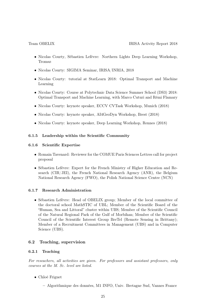- Nicolas Courty, Sébastien Lefèvre: Northern Lights Deep Learning Workshop, Tromsø
- Nicolas Courty: SIGIMA Seminar, IRISA/INRIA, 2018
- Nicolas Courty: tutorial at StatLearn 2018: Optimal Transport and Machine Learning
- Nicolas Courty: Course at Polytechnic Data Science Summer School (DS3) 2018: Optimal Transport and Machine Learning, with Marco Cuturi and Rémi Flamary
- Nicolas Courty: keynote speaker, ECCV CVTask Workshop, Munich (2018)
- Nicolas Courty: keynote speaker, AI4GeoDyn Workshop, Brest (2018)
- Nicolas Courty: keynote speaker, Deep Learning Workshop, Rennes (2018)

# 6.1.5 Leadership within the Scientific Community

# 6.1.6 Scientific Expertise

- Romain Tavenard: Reviewer for the COMUE Paris Sciences Lettres call for project proposal
- Sébastien Lefèvre: Expert for the French Ministry of Higher Education and Research (CIR/JEI), the French National Research Agency (ANR), the Belgium National Research Agency (FWO), the Polish National Science Centre (NCN)

# 6.1.7 Research Administration

• Sébastien Lefèvre: Head of OBELIX group; Member of the local committee of the doctoral school MathSTIC of UBL; Member of the Scientific Board of the "Human, Sea and Littoral" cluster within UBS; Member of the Scientific Council of the Natural Regional Park of the Gulf of Morbihan; Member of the Scientific Council of the Scientific Interest Group BreTel (Remote Sensing in Brittany); Member of a Recruitment Committees in Management (UBS) and in Computer Science (UBS).

# 6.2 Teaching, supervision

# 6.2.1 Teaching

For reseachers, all activities are given. For professors and assistant professors, only courses at the M. Sc. level are listed.

- Chloé Friguet
	- Algorithmique des données, M1 INFO, Univ. Bretagne Sud, Vannes France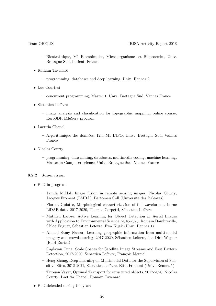- - Biostatistique, M1 Biomolécules, Micro-organismes et Bioprocédés, Univ. Bretagne Sud, Lorient, France
	- Romain Tavenard
		- programming, databases and deep learning, Univ. Rennes 2
	- Luc Courtrai
		- concurrent programming, Master 1, Univ. Bretagne Sud, Vannes France
	- Sébastien Lefèvre
		- image analysis and classification for topographic mapping, online course, EuroSDR EduServ program
	- Laetitia Chapel
		- Algorithmique des données, 12h, M1 INFO, Univ. Bretagne Sud, Vannes France
	- Nicolas Courty
		- programming, data mining, databases, multimedia coding, machine learning, Master in Computer science, Univ. Bretagne Sud, Vannes France

## 6.2.2 Supervision

- PhD in progress:
	- Jamila Mifdal, Image fusion in remote sensing images, Nicolas Courty, Jacques Froment (LMBA), Bartomeu Coll (Université des Baléares)
	- Florent Guiotte, Morphological characterization of full waveform airborne LiDAR data, 2017-2020, Thomas Corpetti, Sébastien Lefèvre
	- Mathieu Laroze, Active Learning for Object Detection in Aerial Images with Application to Environmental Science, 2016-2020, Romain Dambreville, Chloé Friguet, Sébastien Lefèvre, Ewa Kijak (Univ. Rennes 1)
	- Ahmed Samy Nassar, Learning geographic information from multi-modal imagery and crowdsourcing, 2017-2020, Sébastien Lefèvre, Jan Dirk Wegner (ETH Zurich)
	- Caglayan Tuna, Scale Spaces for Satellite Image Streams and Fast Pattern Detection, 2017-2020, Sébastien Lefèvre, François Merciol
	- Heng Zhang, Deep Learning on Multimodal Data for the Supervision of Sensitive Sites, 2018-2021, Sébastien Lefèvre, Elisa Fromont (Univ. Rennes 1)
	- Titouan Vayer, Optimal Transport for structured objects, 2017-2020, Nicolas Courty, Laetitia Chapel, Romain Tavenard
- PhD defended during the year: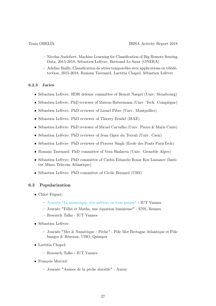- Nicolas Audebert, Machine Learning for Classification of Big Remote Sensing Data, 2015-2018, Sébastien Lefèvre, Bertrand Le Saux (ONERA)
- Adeline Bailly, Classification de séries temporelles avec applications en télédétection, 2015-2018, Romain Tavenard, Laetitia Chapel, Sébastien Lefèvre

### 6.2.3 Juries

- Sébastien Lefèvre: HDR defense committee of Benoit Naegel (Univ. Strasbourg)
- Sébastien Lefèvre: PhD reviewer of Mateus Habermann (Univ. Tech. Compiègne)
- Sébastien Lefèvre: PhD reviewer of Lionel Pibre (Univ. Montpellier)
- Sébastien Lefèvre: PhD reviewer of Thierry Erudel (ISAE)
- Sébastien Lefèvre: PhD reviewer of Micael Carvalho (Univ. Pierre & Marie Curie)
- Sébastien Lefèvre: PhD reviewer of Jean Ogier du Terrail (Univ. Caen)
- Sébastien Lefèvre: PhD reviewer of Praveer Singh (Ecole des Ponts ParisTech)
- Romain Tavenard: PhD committee of Vera Shalaeva (Univ. Grenoble Alpes)
- Sébastien Lefèvre: PhD committee of Carlos Eduardo Rosar Kos Lassance (Institut Mines Telecom Atlantique)
- Sébastien Lefèvre: PhD committee of Cécile Bernard (UBS)

# 6.3 Popularization

- Chloé Friguet:
	- [Journée "Le numérique, des métiers en tous genres"](numerique-en-tous-genres.bzh) IUT Vannes
	- Journée "Filles et Maths, une équation lumineuse" ENS, Rennes
	- Research Talks IUT Vannes
- Sébastien Lefèvre:
	- Journée "Mer & Numérique / Pêche" Pôle Mer Bretagne Atlantique et Pôle Images & Réseaux, UBO, Quimper
- Laetitia Chapel:
	- Research Talks IUT Vannes
- François Merciol:
	- Journée "Assises de la pêche durable" Auray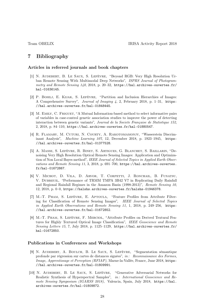# 7 Bibliography

### Articles in referred journals and book chapters

- <span id="page-29-3"></span>[1] N. Audebert, B. Le Saux, S. Lefèvre, "Beyond RGB: Very High Resolution Urban Remote Sensing With Multimodal Deep Networks", ISPRS Journal of Photogrammetry and Remote Sensing 140, 2018, p. 20–32, https://hal.archives-ouvertes.fr/ hal-01636145.
- <span id="page-29-0"></span>[2] P. Bosilj, E. Kijak, S. Lefèvre, "Partition and Inclusion Hierarchies of Images: A Comprehensive Survey", Journal of Imaging 4, 2, February 2018, p. 1–31, https: //hal.archives-ouvertes.fr/hal-01848445.
- <span id="page-29-8"></span>[3] M. EMILY, C. FRIGUET, "A Mutual Information-based method to select informative pairs of variables in case-control genetic association studies to improve the power of detecting interaction between genetic variants", Journal de la Societe Française de Statistique 152, 2, 2018, p. 84–110, https://hal.archives-ouvertes.fr/hal-01880547.
- <span id="page-29-7"></span>[4] R. Flamary, M. Cuturi, N. Courty, A. Rakotomamonjy, "Wasserstein Discriminant Analysis", Machine Learning 107, 12, December 2018, p. 1923–1945, https: //hal.archives-ouvertes.fr/hal-01377528.
- <span id="page-29-9"></span>[5] A. Masse, S. Lefèvre, R. Binet, S. Artigues, G. Blanchet, S. Baillarin, "Denoising Very High Resolution Optical Remote Sensing Images: Application and Optimization of Non Local Bayes method", IEEE Journal of Selected Topics in Applied Earth Observations and Remote Sensing 11, 3, 2018, p. 691–700, https://hal.archives-ouvertes. fr/hal-01672867.
- <span id="page-29-6"></span>[6] V. Michot, D. Vila, D. Arvor, T. Corpetti, J. Ronchail, B. Funatsu, V. Dubreuil, "Performance of TRMM TMPA 3B42 V7 in Replicating Daily Rainfall and Regional Rainfall Regimes in the Amazon Basin (1998-2013)", Remote Sensing 10, 12, 2018, p. 0–0, https://halshs.archives-ouvertes.fr/halshs-01946378.
- <span id="page-29-2"></span>[7] M.-T. Pham, S. Lefèvre, E. Aptoula, "Feature Profiles from Attribute Filtering for Classification of Remote Sensing Images", IEEE Journal of Selected Topics in Applied Earth Observations and Remote Sensing 11, 1, 2018, p. 249–256, https: //hal.archives-ouvertes.fr/hal-01672852.
- <span id="page-29-1"></span>[8] M.-T. PHAM, S. LEFÈVRE, F. MERCIOL, "Attribute Profiles on Derived Textural Features for Highly Textured Optical Image Classification", IEEE Geoscience and Remote Sensing Letters 15, 7, July 2018, p. 1125–1129, https://hal.archives-ouvertes.fr/ hal-01672850.

### Publications in Conferences and Workshops

- <span id="page-29-4"></span>[9] N. Audebert, A. Boulch, B. Le Saux, S. Lefèvre, "Segmentation sémantique profonde par régression sur cartes de distances signées", in : Reconnaissance des Formes, Image, Apprentissage et Perception (RFIAP), Marne-la-Vallée, France, June 2018, https: //hal.archives-ouvertes.fr/hal-01809991.
- <span id="page-29-5"></span>[10] N. Audebert, B. Le Saux, S. Lefèvre, "Generative Adversarial Networks for Realistic Synthesis of Hyperspectral Samples", in: International Geoscience and Remote Sensing Symposium (IGARSS 2018), Valencia, Spain, July 2018, https://hal. archives-ouvertes.fr/hal-01809872.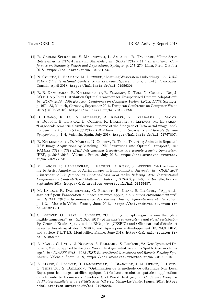- <span id="page-30-1"></span>[11] R. Carlini Sperandio, S. Malinowski, L. Amsaleg, R. Tavenard, "Time Series Retrieval using DTW-Preserving Shapelets", in : SISAP 2018 – 11th International Conference on Similarity Search and Applications, Springer, p. 257–270, Lima, Peru, October 2018, https://hal.inria.fr/hal-01841995.
- <span id="page-30-6"></span>[12] N. COURTY, R. FLAMARY, M. DUCOFFE, "Learning Wasserstein Embeddings", in: ICLR 2018 - 6th International Conference on Learning Representations, p. 1–13, Vancouver, Canada, April 2018, https://hal.inria.fr/hal-01956306.
- <span id="page-30-4"></span>[13] B. B. Damodaran, B. Kellenberger, R. Flamary, D. Tuia, N. Courty, "DeepJ-DOT: Deep Joint Distribution Optimal Transport for Unsupervised Domain Adaptation", in : ECCV 2018 - 15th European Conference on Computer Vision, LNCS, 11208, Springer, p. 467–483, Munich, Germany, September 2018. European Conference on Computer Vision 2018 (ECCV-2018), https://hal.inria.fr/hal-01956356.
- <span id="page-30-0"></span>[14] B. Huang, K. Lu, N. Audebert, A. Khalel, Y. Tarabalka, J. Malof, A. Boulch, B. Le Saux, L. Collins, K. Bradbury, S. Lefèvre, M. El-Saban, "Large-scale semantic classification: outcome of the first year of Inria aerial image labeling benchmark", in : IGARSS 2018 - IEEE International Geoscience and Remote Sensing Symposium, p. 1–4, Valencia, Spain, July 2018, https://hal.inria.fr/hal-01767807.
- <span id="page-30-5"></span>[15] B. Kellenberger, D. Marcos, N. Courty, D. Tuia, "Detecting Animals in Repeated UAV Image Acquisitions by Matching CNN Activations with Optimal Transport",  $in$ : IGARSS 2018 - 2018 IEEE International Geoscience and Remote Sensing Symposium, IEEE, p. 3643–3646, Valencia, France, July 2018, https://hal.archives-ouvertes. fr/hal-02174328.
- <span id="page-30-3"></span>[16] M. Laroze, R. Dambreville, C. Friguet, E. Kijak, S. Lefèvre, "Active Learning to Assist Annotation of Aerial Images in Environmental Surveys", in : CBMI 2018 - International Conference on Content-Based Multimedia Indexing, 2018 International Conference on Content-Based Multimedia Indexing (CBMI), p. 1–6, La Rochelle, France, September 2018, https://hal.archives-ouvertes.fr/hal-01845487.
- <span id="page-30-2"></span>[17] M. Laroze, R. Dambreville, C. Friguet, E. Kijak, S. Lefèvre, "Apprentissage actif pour l'annotation d'images aériennes appliqué aux suivis environnementaux", in : RFIAP 2018 - Reconnaissance des Formes, Image, Apprentissage et Perception, p. 1–3, Marne-la-Vallée, France, June 2018, https://hal.archives-ouvertes.fr/ hal-01828591.
- <span id="page-30-9"></span>[18] S. Lefèvre, O. Tasar, D. Sheeren, "Combining multiple segmentations through a flexible framework", in: GEOBIA 2018 - From pixels to ecosystems and global sustainability, Centre d'Etudes Spatiales de la BIOsphère (CESBIO) and Office national d'études et de recherches aérospatiales (ONERA) and Espace pour le développement (ESPACE DEV) and Société T.E.T.I.S, Montpellier, France, June 2018, http://hal.univ-reunion.fr/ hal-01958983.
- <span id="page-30-8"></span>[19] A. Masse, C. Latry, J. Nosavan, S. Baillarin, S. Lefèvre, "A New Optimized Denoising Method applied to the Spot World Heritage Initiative and its Spot 5 Supermode images", in : IGARSS 2018 - 2018 IEEE International Geoscience and Remote Sensing Symposium, Valencia, Spain, 2018, https://hal.archives-ouvertes.fr/hal-01969010.
- <span id="page-30-7"></span>[20] A. Masse, S. Lefèvre, R. Dambreville, G. Blanchet, J. M. Delvit, C. Latry, C. Thiébaut, S. Baillarin, "Optimisation de la méthode de débruitage Non Local Bayes pour les images satellites optiques à très haute résolution spatiale : applications dans le contexte des missions Pléiades et Spot World Heritage", in : Conférence Française de Photogrammétrie et de Télédétection (CFPT), Marne-La-Vallée, France, 2018, https: //hal.archives-ouvertes.fr/hal-01969048.